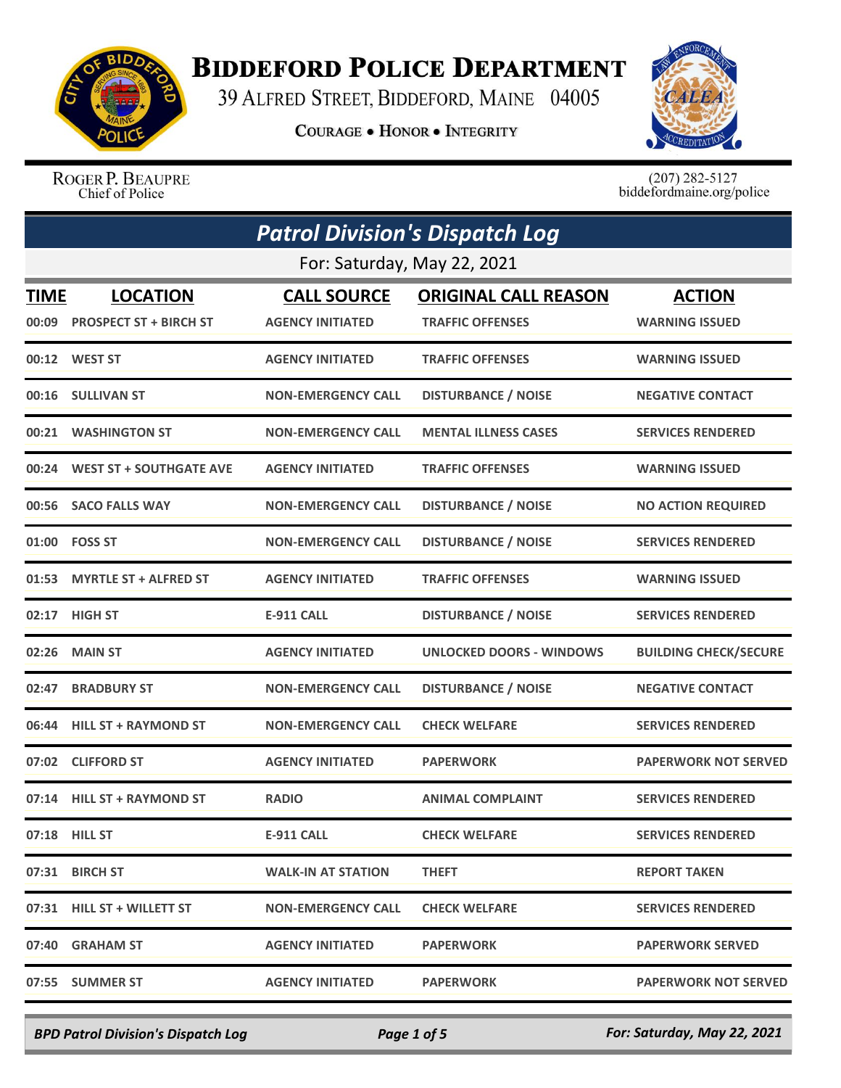

## **BIDDEFORD POLICE DEPARTMENT**

39 ALFRED STREET, BIDDEFORD, MAINE 04005

**COURAGE . HONOR . INTEGRITY** 



ROGER P. BEAUPRE Chief of Police

 $(207)$  282-5127<br>biddefordmaine.org/police

| <b>Patrol Division's Dispatch Log</b> |                                                 |                                               |                                                        |                                        |  |
|---------------------------------------|-------------------------------------------------|-----------------------------------------------|--------------------------------------------------------|----------------------------------------|--|
| For: Saturday, May 22, 2021           |                                                 |                                               |                                                        |                                        |  |
| <u>TIME</u>                           | <b>LOCATION</b><br>00:09 PROSPECT ST + BIRCH ST | <b>CALL SOURCE</b><br><b>AGENCY INITIATED</b> | <b>ORIGINAL CALL REASON</b><br><b>TRAFFIC OFFENSES</b> | <b>ACTION</b><br><b>WARNING ISSUED</b> |  |
|                                       | 00:12 WEST ST                                   | <b>AGENCY INITIATED</b>                       | <b>TRAFFIC OFFENSES</b>                                | <b>WARNING ISSUED</b>                  |  |
|                                       | 00:16 SULLIVAN ST                               | <b>NON-EMERGENCY CALL</b>                     | <b>DISTURBANCE / NOISE</b>                             | <b>NEGATIVE CONTACT</b>                |  |
|                                       | 00:21 WASHINGTON ST                             | <b>NON-EMERGENCY CALL</b>                     | <b>MENTAL ILLNESS CASES</b>                            | <b>SERVICES RENDERED</b>               |  |
|                                       | 00:24 WEST ST + SOUTHGATE AVE                   | <b>AGENCY INITIATED</b>                       | <b>TRAFFIC OFFENSES</b>                                | <b>WARNING ISSUED</b>                  |  |
|                                       | 00:56 SACO FALLS WAY                            | <b>NON-EMERGENCY CALL</b>                     | <b>DISTURBANCE / NOISE</b>                             | <b>NO ACTION REQUIRED</b>              |  |
|                                       | 01:00 FOSS ST                                   | <b>NON-EMERGENCY CALL</b>                     | <b>DISTURBANCE / NOISE</b>                             | <b>SERVICES RENDERED</b>               |  |
|                                       | 01:53 MYRTLE ST + ALFRED ST                     | <b>AGENCY INITIATED</b>                       | <b>TRAFFIC OFFENSES</b>                                | <b>WARNING ISSUED</b>                  |  |
| 02:17                                 | <b>HIGH ST</b>                                  | <b>E-911 CALL</b>                             | <b>DISTURBANCE / NOISE</b>                             | <b>SERVICES RENDERED</b>               |  |
|                                       | 02:26 MAIN ST                                   | <b>AGENCY INITIATED</b>                       | <b>UNLOCKED DOORS - WINDOWS</b>                        | <b>BUILDING CHECK/SECURE</b>           |  |
| 02:47                                 | <b>BRADBURY ST</b>                              | <b>NON-EMERGENCY CALL</b>                     | <b>DISTURBANCE / NOISE</b>                             | <b>NEGATIVE CONTACT</b>                |  |
|                                       | 06:44 HILL ST + RAYMOND ST                      | <b>NON-EMERGENCY CALL</b>                     | <b>CHECK WELFARE</b>                                   | <b>SERVICES RENDERED</b>               |  |
|                                       | 07:02 CLIFFORD ST                               | <b>AGENCY INITIATED</b>                       | <b>PAPERWORK</b>                                       | <b>PAPERWORK NOT SERVED</b>            |  |
|                                       | 07:14 HILL ST + RAYMOND ST                      | <b>RADIO</b>                                  | <b>ANIMAL COMPLAINT</b>                                | <b>SERVICES RENDERED</b>               |  |
|                                       | 07:18 HILL ST                                   | <b>E-911 CALL</b>                             | <b>CHECK WELFARE</b>                                   | <b>SERVICES RENDERED</b>               |  |
|                                       | 07:31 BIRCH ST                                  | <b>WALK-IN AT STATION</b>                     | <b>THEFT</b>                                           | <b>REPORT TAKEN</b>                    |  |
|                                       | 07:31 HILL ST + WILLETT ST                      | <b>NON-EMERGENCY CALL</b>                     | <b>CHECK WELFARE</b>                                   | <b>SERVICES RENDERED</b>               |  |
|                                       | 07:40 GRAHAM ST                                 | <b>AGENCY INITIATED</b>                       | <b>PAPERWORK</b>                                       | <b>PAPERWORK SERVED</b>                |  |
|                                       | 07:55 SUMMER ST                                 | <b>AGENCY INITIATED</b>                       | <b>PAPERWORK</b>                                       | <b>PAPERWORK NOT SERVED</b>            |  |

*BPD Patrol Division's Dispatch Log Page 1 of 5 For: Saturday, May 22, 2021*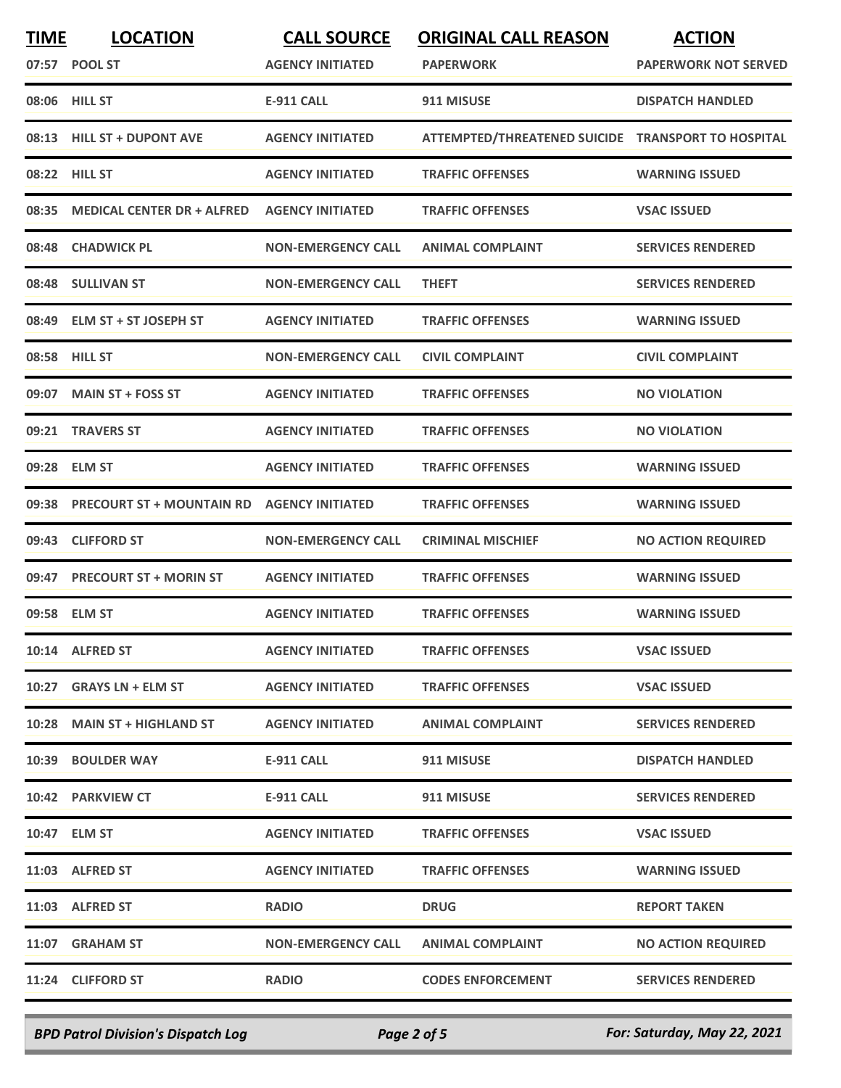| <b>TIME</b> | <b>LOCATION</b>                   | <b>CALL SOURCE</b>        | <b>ORIGINAL CALL REASON</b>                        | <b>ACTION</b>               |
|-------------|-----------------------------------|---------------------------|----------------------------------------------------|-----------------------------|
|             | 07:57 POOL ST                     | <b>AGENCY INITIATED</b>   | <b>PAPERWORK</b>                                   | <b>PAPERWORK NOT SERVED</b> |
|             | 08:06 HILL ST                     | <b>E-911 CALL</b>         | 911 MISUSE                                         | <b>DISPATCH HANDLED</b>     |
|             | 08:13 HILL ST + DUPONT AVE        | <b>AGENCY INITIATED</b>   | ATTEMPTED/THREATENED SUICIDE TRANSPORT TO HOSPITAL |                             |
|             | 08:22 HILL ST                     | <b>AGENCY INITIATED</b>   | <b>TRAFFIC OFFENSES</b>                            | <b>WARNING ISSUED</b>       |
| 08:35       | <b>MEDICAL CENTER DR + ALFRED</b> | <b>AGENCY INITIATED</b>   | <b>TRAFFIC OFFENSES</b>                            | <b>VSAC ISSUED</b>          |
|             | 08:48 CHADWICK PL                 | <b>NON-EMERGENCY CALL</b> | <b>ANIMAL COMPLAINT</b>                            | <b>SERVICES RENDERED</b>    |
|             | 08:48 SULLIVAN ST                 | <b>NON-EMERGENCY CALL</b> | <b>THEFT</b>                                       | <b>SERVICES RENDERED</b>    |
|             | 08:49 ELM ST + ST JOSEPH ST       | <b>AGENCY INITIATED</b>   | <b>TRAFFIC OFFENSES</b>                            | <b>WARNING ISSUED</b>       |
|             | 08:58 HILL ST                     | <b>NON-EMERGENCY CALL</b> | <b>CIVIL COMPLAINT</b>                             | <b>CIVIL COMPLAINT</b>      |
|             | 09:07 MAIN ST + FOSS ST           | <b>AGENCY INITIATED</b>   | <b>TRAFFIC OFFENSES</b>                            | <b>NO VIOLATION</b>         |
| 09:21       | <b>TRAVERS ST</b>                 | <b>AGENCY INITIATED</b>   | <b>TRAFFIC OFFENSES</b>                            | <b>NO VIOLATION</b>         |
|             | 09:28 ELM ST                      | <b>AGENCY INITIATED</b>   | <b>TRAFFIC OFFENSES</b>                            | <b>WARNING ISSUED</b>       |
| 09:38       | <b>PRECOURT ST + MOUNTAIN RD</b>  | <b>AGENCY INITIATED</b>   | <b>TRAFFIC OFFENSES</b>                            | <b>WARNING ISSUED</b>       |
|             | 09:43 CLIFFORD ST                 | <b>NON-EMERGENCY CALL</b> | <b>CRIMINAL MISCHIEF</b>                           | <b>NO ACTION REQUIRED</b>   |
|             | 09:47 PRECOURT ST + MORIN ST      | <b>AGENCY INITIATED</b>   | <b>TRAFFIC OFFENSES</b>                            | <b>WARNING ISSUED</b>       |
|             | 09:58 ELM ST                      | <b>AGENCY INITIATED</b>   | <b>TRAFFIC OFFENSES</b>                            | <b>WARNING ISSUED</b>       |
|             | 10:14 ALFRED ST                   | <b>AGENCY INITIATED</b>   | <b>TRAFFIC OFFENSES</b>                            | <b>VSAC ISSUED</b>          |
|             | 10:27 GRAYS LN + ELM ST           | <b>AGENCY INITIATED</b>   | <b>TRAFFIC OFFENSES</b>                            | <b>VSAC ISSUED</b>          |
|             | 10:28 MAIN ST + HIGHLAND ST       | <b>AGENCY INITIATED</b>   | <b>ANIMAL COMPLAINT</b>                            | <b>SERVICES RENDERED</b>    |
|             | 10:39 BOULDER WAY                 | E-911 CALL                | 911 MISUSE                                         | <b>DISPATCH HANDLED</b>     |
|             | 10:42 PARKVIEW CT                 | E-911 CALL                | 911 MISUSE                                         | <b>SERVICES RENDERED</b>    |
|             | 10:47 ELM ST                      | <b>AGENCY INITIATED</b>   | <b>TRAFFIC OFFENSES</b>                            | <b>VSAC ISSUED</b>          |
|             | 11:03 ALFRED ST                   | <b>AGENCY INITIATED</b>   | <b>TRAFFIC OFFENSES</b>                            | <b>WARNING ISSUED</b>       |
|             | 11:03 ALFRED ST                   | <b>RADIO</b>              | <b>DRUG</b>                                        | <b>REPORT TAKEN</b>         |
|             | 11:07 GRAHAM ST                   | <b>NON-EMERGENCY CALL</b> | <b>ANIMAL COMPLAINT</b>                            | <b>NO ACTION REQUIRED</b>   |
|             | 11:24 CLIFFORD ST                 | <b>RADIO</b>              | <b>CODES ENFORCEMENT</b>                           | <b>SERVICES RENDERED</b>    |
|             |                                   |                           |                                                    |                             |

*BPD Patrol Division's Dispatch Log Page 2 of 5 For: Saturday, May 22, 2021*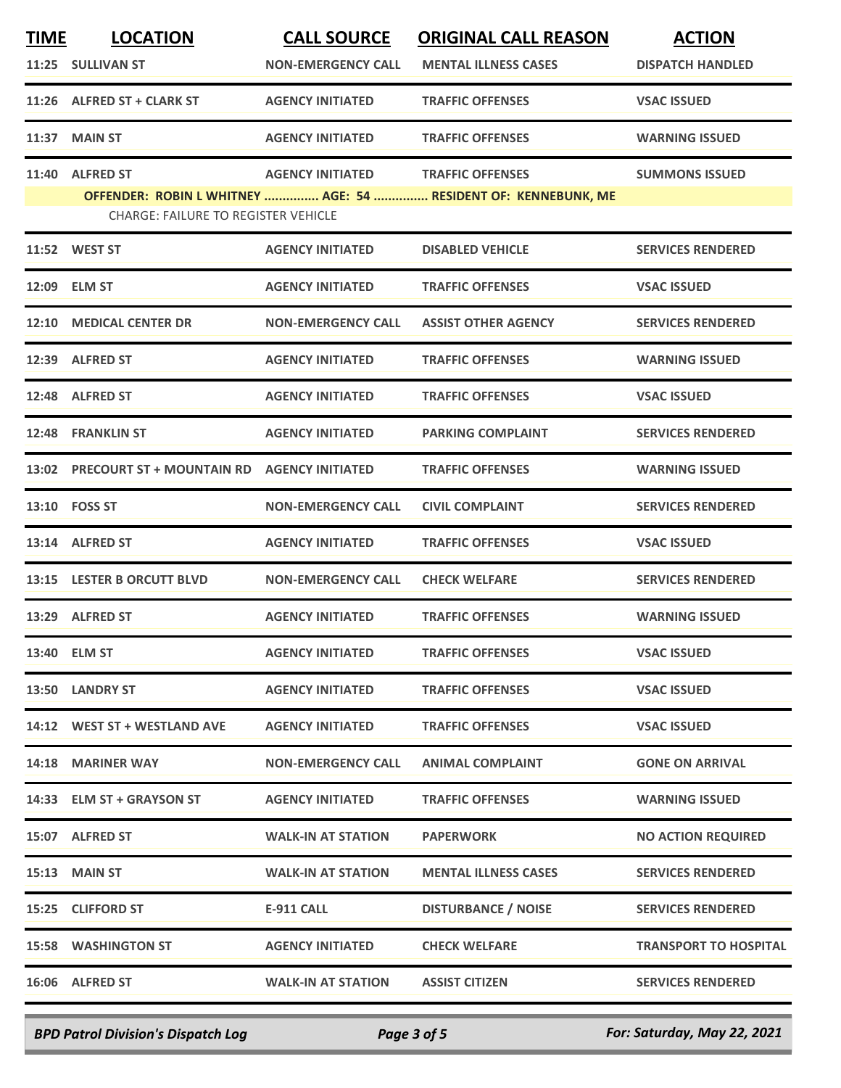| <b>TIME</b> | <b>LOCATION</b>                                   | <b>CALL SOURCE</b>        | <b>ORIGINAL CALL REASON</b>                                    | <b>ACTION</b>                |
|-------------|---------------------------------------------------|---------------------------|----------------------------------------------------------------|------------------------------|
|             | 11:25 SULLIVAN ST                                 | <b>NON-EMERGENCY CALL</b> | <b>MENTAL ILLNESS CASES</b>                                    | <b>DISPATCH HANDLED</b>      |
| 11:26       | ALFRED ST + CLARK ST                              | <b>AGENCY INITIATED</b>   | <b>TRAFFIC OFFENSES</b>                                        | <b>VSAC ISSUED</b>           |
| 11:37       | <b>MAIN ST</b>                                    | <b>AGENCY INITIATED</b>   | <b>TRAFFIC OFFENSES</b>                                        | <b>WARNING ISSUED</b>        |
| 11:40       | <b>ALFRED ST</b>                                  | <b>AGENCY INITIATED</b>   | <b>TRAFFIC OFFENSES</b>                                        | <b>SUMMONS ISSUED</b>        |
|             | <b>CHARGE: FAILURE TO REGISTER VEHICLE</b>        |                           | OFFENDER: ROBIN L WHITNEY  AGE: 54  RESIDENT OF: KENNEBUNK, ME |                              |
|             | 11:52 WEST ST                                     | <b>AGENCY INITIATED</b>   | <b>DISABLED VEHICLE</b>                                        | <b>SERVICES RENDERED</b>     |
| 12:09       | <b>ELM ST</b>                                     | <b>AGENCY INITIATED</b>   | <b>TRAFFIC OFFENSES</b>                                        | <b>VSAC ISSUED</b>           |
| 12:10       | <b>MEDICAL CENTER DR</b>                          | <b>NON-EMERGENCY CALL</b> | <b>ASSIST OTHER AGENCY</b>                                     | <b>SERVICES RENDERED</b>     |
| 12:39       | <b>ALFRED ST</b>                                  | <b>AGENCY INITIATED</b>   | <b>TRAFFIC OFFENSES</b>                                        | <b>WARNING ISSUED</b>        |
| 12:48       | <b>ALFRED ST</b>                                  | <b>AGENCY INITIATED</b>   | <b>TRAFFIC OFFENSES</b>                                        | <b>VSAC ISSUED</b>           |
| 12:48       | <b>FRANKLIN ST</b>                                | <b>AGENCY INITIATED</b>   | <b>PARKING COMPLAINT</b>                                       | <b>SERVICES RENDERED</b>     |
| 13:02       | <b>PRECOURT ST + MOUNTAIN RD AGENCY INITIATED</b> |                           | <b>TRAFFIC OFFENSES</b>                                        | <b>WARNING ISSUED</b>        |
|             | 13:10    FOSS ST                                  | <b>NON-EMERGENCY CALL</b> | <b>CIVIL COMPLAINT</b>                                         | <b>SERVICES RENDERED</b>     |
|             | 13:14 ALFRED ST                                   | <b>AGENCY INITIATED</b>   | <b>TRAFFIC OFFENSES</b>                                        | <b>VSAC ISSUED</b>           |
| 13:15       | <b>LESTER B ORCUTT BLVD</b>                       | <b>NON-EMERGENCY CALL</b> | <b>CHECK WELFARE</b>                                           | <b>SERVICES RENDERED</b>     |
| 13:29       | <b>ALFRED ST</b>                                  | <b>AGENCY INITIATED</b>   | <b>TRAFFIC OFFENSES</b>                                        | <b>WARNING ISSUED</b>        |
|             | 13:40 ELM ST                                      | <b>AGENCY INITIATED</b>   | <b>TRAFFIC OFFENSES</b>                                        | <b>VSAC ISSUED</b>           |
|             | 13:50 LANDRY ST                                   | <b>AGENCY INITIATED</b>   | <b>TRAFFIC OFFENSES</b>                                        | <b>VSAC ISSUED</b>           |
|             | 14:12 WEST ST + WESTLAND AVE                      | <b>AGENCY INITIATED</b>   | <b>TRAFFIC OFFENSES</b>                                        | <b>VSAC ISSUED</b>           |
|             | 14:18 MARINER WAY                                 | <b>NON-EMERGENCY CALL</b> | <b>ANIMAL COMPLAINT</b>                                        | <b>GONE ON ARRIVAL</b>       |
|             | 14:33 ELM ST + GRAYSON ST                         | <b>AGENCY INITIATED</b>   | <b>TRAFFIC OFFENSES</b>                                        | <b>WARNING ISSUED</b>        |
|             | 15:07 ALFRED ST                                   | <b>WALK-IN AT STATION</b> | <b>PAPERWORK</b>                                               | <b>NO ACTION REQUIRED</b>    |
|             | <b>15:13 MAIN ST</b>                              | <b>WALK-IN AT STATION</b> | <b>MENTAL ILLNESS CASES</b>                                    | <b>SERVICES RENDERED</b>     |
|             | 15:25 CLIFFORD ST                                 | E-911 CALL                | <b>DISTURBANCE / NOISE</b>                                     | <b>SERVICES RENDERED</b>     |
|             | <b>15:58 WASHINGTON ST</b>                        | <b>AGENCY INITIATED</b>   | <b>CHECK WELFARE</b>                                           | <b>TRANSPORT TO HOSPITAL</b> |
|             | 16:06 ALFRED ST                                   | <b>WALK-IN AT STATION</b> | <b>ASSIST CITIZEN</b>                                          | <b>SERVICES RENDERED</b>     |
|             |                                                   |                           |                                                                |                              |

*BPD Patrol Division's Dispatch Log Page 3 of 5 For: Saturday, May 22, 2021*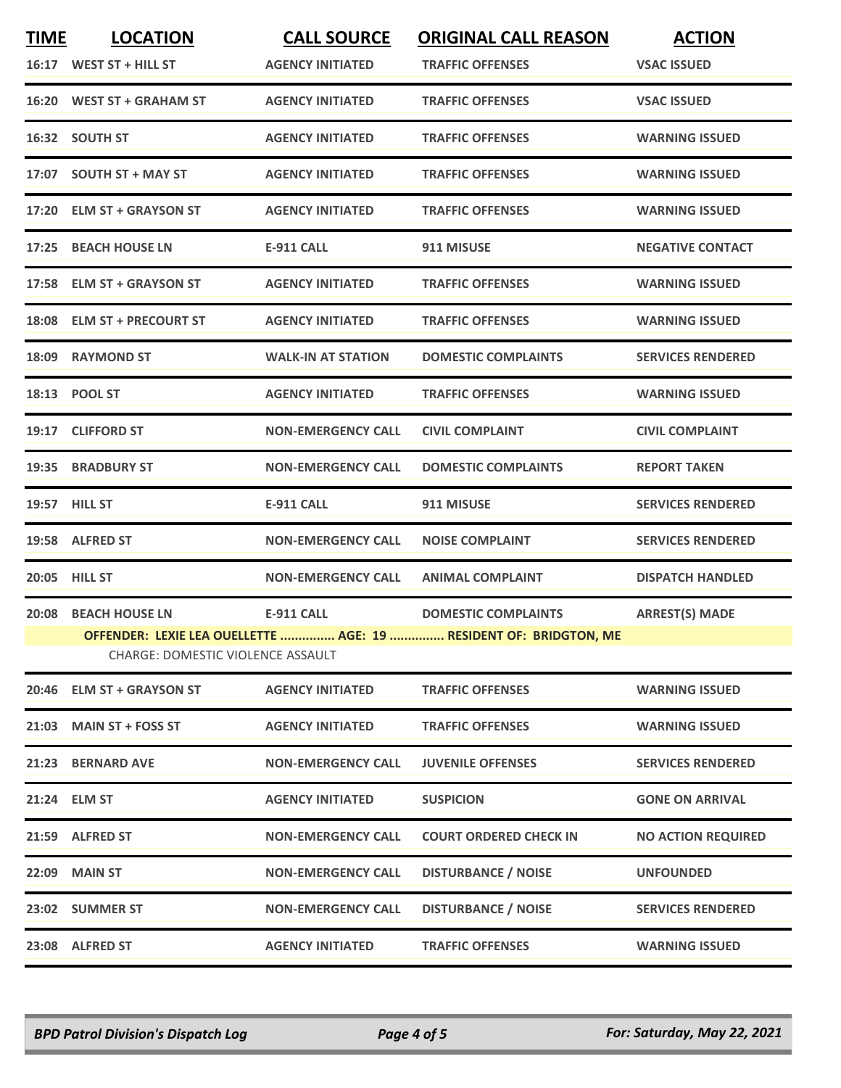| <b>TIME</b> | <b>LOCATION</b>                          | <b>CALL SOURCE</b>        | <b>ORIGINAL CALL REASON</b>                                       | <b>ACTION</b>             |
|-------------|------------------------------------------|---------------------------|-------------------------------------------------------------------|---------------------------|
|             | 16:17 WEST ST + HILL ST                  | <b>AGENCY INITIATED</b>   | <b>TRAFFIC OFFENSES</b>                                           | <b>VSAC ISSUED</b>        |
|             | 16:20 WEST ST + GRAHAM ST                | <b>AGENCY INITIATED</b>   | <b>TRAFFIC OFFENSES</b>                                           | <b>VSAC ISSUED</b>        |
|             | 16:32 SOUTH ST                           | <b>AGENCY INITIATED</b>   | <b>TRAFFIC OFFENSES</b>                                           | <b>WARNING ISSUED</b>     |
|             | 17:07 SOUTH ST + MAY ST                  | <b>AGENCY INITIATED</b>   | <b>TRAFFIC OFFENSES</b>                                           | <b>WARNING ISSUED</b>     |
|             | 17:20 ELM ST + GRAYSON ST                | <b>AGENCY INITIATED</b>   | <b>TRAFFIC OFFENSES</b>                                           | <b>WARNING ISSUED</b>     |
|             | 17:25 BEACH HOUSE LN                     | <b>E-911 CALL</b>         | 911 MISUSE                                                        | <b>NEGATIVE CONTACT</b>   |
|             | 17:58 ELM ST + GRAYSON ST                | <b>AGENCY INITIATED</b>   | <b>TRAFFIC OFFENSES</b>                                           | <b>WARNING ISSUED</b>     |
|             | 18:08 ELM ST + PRECOURT ST               | <b>AGENCY INITIATED</b>   | <b>TRAFFIC OFFENSES</b>                                           | <b>WARNING ISSUED</b>     |
|             | 18:09 RAYMOND ST                         | <b>WALK-IN AT STATION</b> | <b>DOMESTIC COMPLAINTS</b>                                        | <b>SERVICES RENDERED</b>  |
|             | 18:13 POOL ST                            | <b>AGENCY INITIATED</b>   | <b>TRAFFIC OFFENSES</b>                                           | <b>WARNING ISSUED</b>     |
|             | 19:17 CLIFFORD ST                        | <b>NON-EMERGENCY CALL</b> | <b>CIVIL COMPLAINT</b>                                            | <b>CIVIL COMPLAINT</b>    |
|             | 19:35 BRADBURY ST                        | <b>NON-EMERGENCY CALL</b> | <b>DOMESTIC COMPLAINTS</b>                                        | <b>REPORT TAKEN</b>       |
|             | 19:57 HILL ST                            | <b>E-911 CALL</b>         | 911 MISUSE                                                        | <b>SERVICES RENDERED</b>  |
|             | 19:58 ALFRED ST                          | <b>NON-EMERGENCY CALL</b> | <b>NOISE COMPLAINT</b>                                            | <b>SERVICES RENDERED</b>  |
|             | 20:05 HILL ST                            | <b>NON-EMERGENCY CALL</b> | <b>ANIMAL COMPLAINT</b>                                           | <b>DISPATCH HANDLED</b>   |
|             | 20:08 BEACH HOUSE LN                     | <b>E-911 CALL</b>         | <b>DOMESTIC COMPLAINTS</b>                                        | <b>ARREST(S) MADE</b>     |
|             | <b>CHARGE: DOMESTIC VIOLENCE ASSAULT</b> |                           | OFFENDER: LEXIE LEA OUELLETTE  AGE: 19  RESIDENT OF: BRIDGTON, ME |                           |
|             |                                          |                           |                                                                   |                           |
|             | 20:46 ELM ST + GRAYSON ST                | <b>AGENCY INITIATED</b>   | <b>TRAFFIC OFFENSES</b>                                           | <b>WARNING ISSUED</b>     |
|             | 21:03 MAIN ST + FOSS ST                  | <b>AGENCY INITIATED</b>   | <b>TRAFFIC OFFENSES</b>                                           | <b>WARNING ISSUED</b>     |
|             | 21:23 BERNARD AVE                        | <b>NON-EMERGENCY CALL</b> | <b>JUVENILE OFFENSES</b>                                          | <b>SERVICES RENDERED</b>  |
|             | 21:24 ELM ST                             | <b>AGENCY INITIATED</b>   | <b>SUSPICION</b>                                                  | <b>GONE ON ARRIVAL</b>    |
|             | 21:59 ALFRED ST                          | <b>NON-EMERGENCY CALL</b> | <b>COURT ORDERED CHECK IN</b>                                     | <b>NO ACTION REQUIRED</b> |
|             | 22:09 MAIN ST                            | <b>NON-EMERGENCY CALL</b> | <b>DISTURBANCE / NOISE</b>                                        | <b>UNFOUNDED</b>          |
|             | 23:02 SUMMER ST                          | <b>NON-EMERGENCY CALL</b> | <b>DISTURBANCE / NOISE</b>                                        | <b>SERVICES RENDERED</b>  |
|             | 23:08 ALFRED ST                          | <b>AGENCY INITIATED</b>   | <b>TRAFFIC OFFENSES</b>                                           | <b>WARNING ISSUED</b>     |